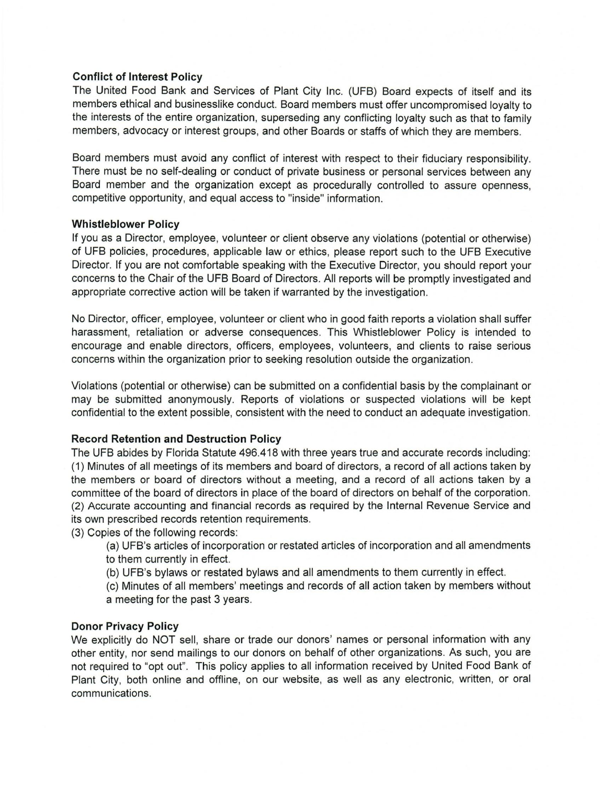## **Conflict of Interest Policy**

The United Food Bank and Services of Plant City Inc. (UFB) Board expects of itself and its members ethical and businesslike conduct. Board members must offer uncompromised loyalty to the interests of the entire organization, superseding any conflicting loyalty such as that to family members, advocacy or interest groups, and other Boards or staffs of which they are members.

Board members must avoid any conflict of interest with respect to their fiduciary responsibility. There must be no self-dealing or conduct of private business or personal services between any Board member and the organization except as procedurally controlled to assure openness, competitive opportunity, and equal access to "inside" information.

## **Whistleblower Policy**

If you as a Director, employee, volunteer or client observe any violations (potential or otherwise) of UFB policies, procedures, applicable law or ethics, please report such to the UFB Executive Director. If you are not comfortable speaking with the Executive Director, you should report your concerns to the Chair of the UFB Board of Directors. All reports will be promptly investigated and appropriate corrective action will be taken if warranted by the investigation.

No Director, officer, employee, volunteer or client who in good faith reports a violation shall suffer harassment, retaliation or adverse consequences. This Whistleblower Policy is intended to encourage and enable directors, officers, employees, volunteers, and clients to raise serious concerns within the organization prior to seeking resolution outside the organization.

Violations (potential or otherwise) can be submitted on a confidential basis by the complainant or may be submitted anonymously. Reports of violations or suspected violations will be kept confidential to the extent possible, consistent with the need to conduct an adequate investigation.

## **Record Retention and Destruction Policy**

The UFB abides by Florida Statute 496.418 with three years true and accurate records including: (1) Minutes of all meetings of its members and board of directors, a record of all actions taken by the members or board of directors without a meeting, and a record of all actions taken by a committee of the board of directors in place of the board of directors on behalf of the corporation. (2) Accurate accounting and financial records as required by the Internal Revenue Service and its own prescribed records retention requirements.

(3) Copies of the following records:

- (a) UFB's articles of incorporation or restated articles of incorporation and all amendments to them currently in effect.
- (b) UFB's bylaws or restated bylaws and all amendments to them currently in effect.
- (c) Minutes of all members' meetings and records of all action taken by members without a meeting for the past 3 years.

## **Donor Privacy Policy**

We explicitly do NOT sell, share or trade our donors' names or personal information with any other entity, nor send mailings to our donors on behalf of other organizations. As such, you are not required to "opt out". This policy applies to all information received by United Food Bank of Plant City, both online and offline, on our website, as well as any electronic, written, or oral communications.